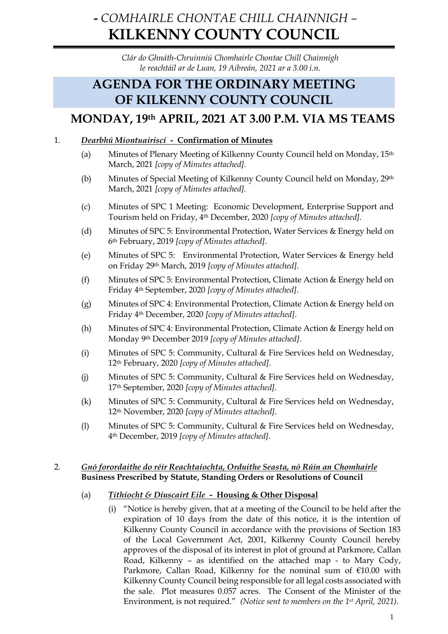# **-** *COMHAIRLE CHONTAE CHILL CHAINNIGH –* **KILKENNY COUNTY COUNCIL**

*Clár do Ghnáth-Chruinniú Chomhairle Chontae Chill Chainnigh le reachtáil ar de Luan, 19 Aibreán, 2021 ar a 3.00 i.n.*

# **AGENDA FOR THE ORDINARY MEETING OF KILKENNY COUNTY COUNCIL**

# **MONDAY, 19th APRIL, 2021 AT 3.00 P.M. VIA MS TEAMS**

# 1. *Dearbhú Miontuairiscí -* **Confirmation of Minutes**

- (a) Minutes of Plenary Meeting of Kilkenny County Council held on Monday, 15th March, 2021 *[copy of Minutes attached].*
- (b) Minutes of Special Meeting of Kilkenny County Council held on Monday, 29th March, 2021 *[copy of Minutes attached].*
- (c) Minutes of SPC 1 Meeting: Economic Development, Enterprise Support and Tourism held on Friday, 4th December, 2020 *[copy of Minutes attached].*
- (d) Minutes of SPC 5: Environmental Protection, Water Services & Energy held on 6th February, 2019 *[copy of Minutes attached]*.
- (e) Minutes of SPC 5: Environmental Protection, Water Services & Energy held on Friday 29th March, 2019 *[copy of Minutes attached]*.
- (f) Minutes of SPC 5: Environmental Protection, Climate Action & Energy held on Friday 4th September, 2020 *[copy of Minutes attached]*.
- (g) Minutes of SPC 4: Environmental Protection, Climate Action & Energy held on Friday 4th December, 2020 *[copy of Minutes attached]*.
- (h) Minutes of SPC 4: Environmental Protection, Climate Action & Energy held on Monday 9th December 2019 *[copy of Minutes attached]*.
- (i) Minutes of SPC 5: Community, Cultural & Fire Services held on Wednesday, 12th February, 2020 *[copy of Minutes attached]*.
- (j) Minutes of SPC 5: Community, Cultural & Fire Services held on Wednesday, 17th September, 2020 *[copy of Minutes attached]*.
- (k) Minutes of SPC 5: Community, Cultural & Fire Services held on Wednesday, 12th November, 2020 *[copy of Minutes attached]*.
- (l) Minutes of SPC 5: Community, Cultural & Fire Services held on Wednesday, 4th December, 2019 *[copy of Minutes attached]*.

# 2. *Gnó forordaithe do réir Reachtaíochta, Orduithe Seasta, nó Rúin an Chomhairle* **Business Prescribed by Statute, Standing Orders or Resolutions of Council**

# (a) *Tithíocht & Díuscairt Eile -* **Housing & Other Disposal**

(i) "Notice is hereby given, that at a meeting of the Council to be held after the expiration of 10 days from the date of this notice, it is the intention of Kilkenny County Council in accordance with the provisions of Section 183 of the Local Government Act, 2001, Kilkenny County Council hereby approves of the disposal of its interest in plot of ground at Parkmore, Callan Road, Kilkenny – as identified on the attached map - to Mary Cody, Parkmore, Callan Road, Kilkenny for the nominal sum of €10.00 with Kilkenny County Council being responsible for all legal costs associated with the sale. Plot measures 0.057 acres. The Consent of the Minister of the Environment, is not required." *(Notice sent to members on the 1st April, 2021).*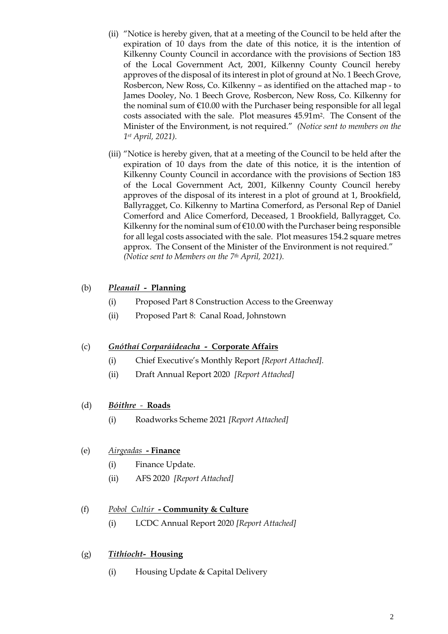- (ii) "Notice is hereby given, that at a meeting of the Council to be held after the expiration of 10 days from the date of this notice, it is the intention of Kilkenny County Council in accordance with the provisions of Section 183 of the Local Government Act, 2001, Kilkenny County Council hereby approves of the disposal of its interest in plot of ground at No. 1 Beech Grove, Rosbercon, New Ross, Co. Kilkenny – as identified on the attached map - to James Dooley, No. 1 Beech Grove, Rosbercon, New Ross, Co. Kilkenny for the nominal sum of €10.00 with the Purchaser being responsible for all legal costs associated with the sale. Plot measures 45.91m2. The Consent of the Minister of the Environment, is not required." *(Notice sent to members on the 1st April, 2021).*
- (iii) "Notice is hereby given, that at a meeting of the Council to be held after the expiration of 10 days from the date of this notice, it is the intention of Kilkenny County Council in accordance with the provisions of Section 183 of the Local Government Act, 2001, Kilkenny County Council hereby approves of the disposal of its interest in a plot of ground at 1, Brookfield, Ballyragget, Co. Kilkenny to Martina Comerford, as Personal Rep of Daniel Comerford and Alice Comerford, Deceased, 1 Brookfield, Ballyragget, Co. Kilkenny for the nominal sum of €10.00 with the Purchaser being responsible for all legal costs associated with the sale. Plot measures 154.2 square metres approx. The Consent of the Minister of the Environment is not required." *(Notice sent to Members on the 7th April, 2021).*

# (b) *Pleanail -* **Planning**

- (i) Proposed Part 8 Construction Access to the Greenway
- (ii) Proposed Part 8: Canal Road, Johnstown

# (c) *Gnóthaí Corparáideacha -* **Corporate Affairs**

- (i) Chief Executive's Monthly Report *[Report Attached].*
- (ii) Draft Annual Report 2020 *[Report Attached]*

# (d) *Bóithre**-* **Roads**

(i) Roadworks Scheme 2021 *[Report Attached]*

# (e) *Airgeadas* **- Finance**

- (i) Finance Update.
- (ii) AFS 2020 *[Report Attached]*

# (f) *Pobol Cultúr* **- Community & Culture**

(i) LCDC Annual Report 2020 *[Report Attached]*

# (g) *Tithíocht-* **Housing**

(i) Housing Update & Capital Delivery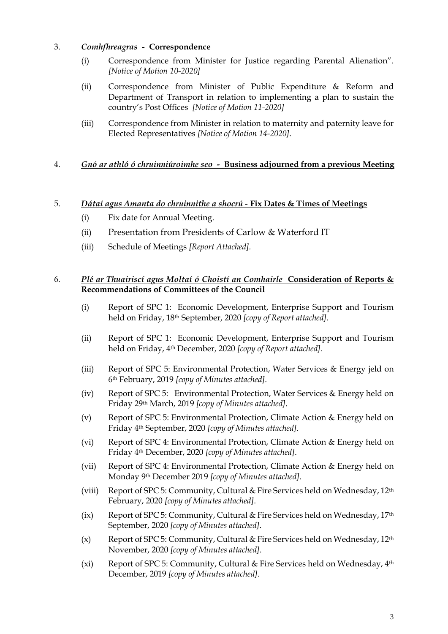# 3. *Comhfhreagras -* **Correspondence**

- (i) Correspondence from Minister for Justice regarding Parental Alienation". *[Notice of Motion 10-2020]*
- (ii) Correspondence from Minister of Public Expenditure & Reform and Department of Transport in relation to implementing a plan to sustain the country's Post Offices *[Notice of Motion 11-2020]*
- (iii) Correspondence from Minister in relation to maternity and paternity leave for Elected Representatives *[Notice of Motion 14-2020].*

# 4. *Gnó ar athló ó chruinniúroimhe seo -* **Business adjourned from a previous Meeting**

# 5. *Dátaí agus Amanta do chruinnithe a shocrú -* **Fix Dates & Times of Meetings**

- (i) Fix date for Annual Meeting.
- (ii) Presentation from Presidents of Carlow & Waterford IT
- (iii) Schedule of Meetings *[Report Attached].*

# 6. *Plé ar Thuairiscí agus Moltaí ó Choistí an Comhairle* **Consideration of Reports & Recommendations of Committees of the Council**

- (i) Report of SPC 1: Economic Development, Enterprise Support and Tourism held on Friday, 18th September, 2020 *[copy of Report attached].*
- (ii) Report of SPC 1: Economic Development, Enterprise Support and Tourism held on Friday, 4th December, 2020 *[copy of Report attached].*
- (iii) Report of SPC 5: Environmental Protection, Water Services & Energy jeld on 6th February, 2019 *[copy of Minutes attached]*.
- (iv) Report of SPC 5: Environmental Protection, Water Services & Energy held on Friday 29th March, 2019 *[copy of Minutes attached]*.
- (v) Report of SPC 5: Environmental Protection, Climate Action & Energy held on Friday 4th September, 2020 *[copy of Minutes attached]*.
- (vi) Report of SPC 4: Environmental Protection, Climate Action & Energy held on Friday 4th December, 2020 *[copy of Minutes attached]*.
- (vii) Report of SPC 4: Environmental Protection, Climate Action & Energy held on Monday 9th December 2019 *[copy of Minutes attached]*.
- (viii) Report of SPC 5: Community, Cultural & Fire Services held on Wednesday, 12th February, 2020 *[copy of Minutes attached]*.
- (ix) Report of SPC 5: Community, Cultural & Fire Services held on Wednesday, 17th September, 2020 *[copy of Minutes attached]*.
- (x) Report of SPC 5: Community, Cultural & Fire Services held on Wednesday,  $12<sup>th</sup>$ November, 2020 *[copy of Minutes attached]*.
- (xi) Report of SPC 5: Community, Cultural & Fire Services held on Wednesday, 4th December, 2019 *[copy of Minutes attached]*.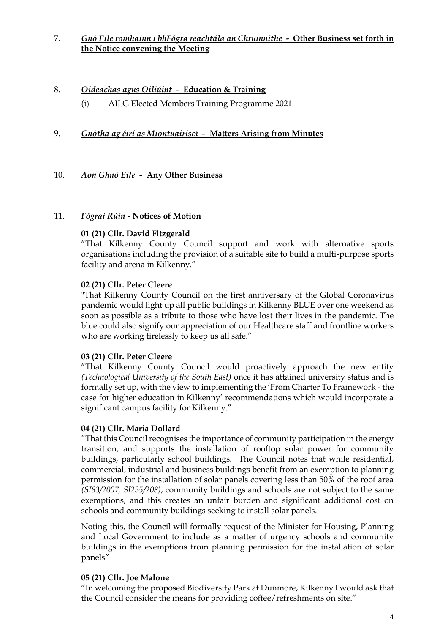7. *Gnó Eile romhainn i bhFógra reachtála an Chruinnithe -* **Other Business set forth in the Notice convening the Meeting**

# 8. *Oideachas agus Oiliúint -* **Education & Training**

(i) AILG Elected Members Training Programme 2021

# 9. *Gnótha ag éirí as Miontuairiscí -* **Matters Arising from Minutes**

#### 10. *Aon Ghnó Eile -* **Any Other Business**

#### 11. *Fógraí Rúin -* **Notices of Motion**

#### **01 (21) Cllr. David Fitzgerald**

"That Kilkenny County Council support and work with alternative sports organisations including the provision of a suitable site to build a multi-purpose sports facility and arena in Kilkenny."

#### **02 (21) Cllr. Peter Cleere**

"That Kilkenny County Council on the first anniversary of the Global Coronavirus pandemic would light up all public buildings in Kilkenny BLUE over one weekend as soon as possible as a tribute to those who have lost their lives in the pandemic. The blue could also signify our appreciation of our Healthcare staff and frontline workers who are working tirelessly to keep us all safe."

#### **03 (21) Cllr. Peter Cleere**

"That Kilkenny County Council would proactively approach the new entity *(Technological University of the South East)* once it has attained university status and is formally set up, with the view to implementing the 'From Charter To Framework - the case for higher education in Kilkenny' recommendations which would incorporate a significant campus facility for Kilkenny."

#### **04 (21) Cllr. Maria Dollard**

"That this Council recognises the importance of community participation in the energy transition, and supports the installation of rooftop solar power for community buildings, particularly school buildings. The Council notes that while residential, commercial, industrial and business buildings benefit from an exemption to planning permission for the installation of solar panels covering less than 50% of the roof area *(SI83/2007, SI235/208)*, community buildings and schools are not subject to the same exemptions, and this creates an unfair burden and significant additional cost on schools and community buildings seeking to install solar panels.

Noting this, the Council will formally request of the Minister for Housing, Planning and Local Government to include as a matter of urgency schools and community buildings in the exemptions from planning permission for the installation of solar panels"

#### **05 (21) Cllr. Joe Malone**

"In welcoming the proposed Biodiversity Park at Dunmore, Kilkenny I would ask that the Council consider the means for providing coffee/refreshments on site."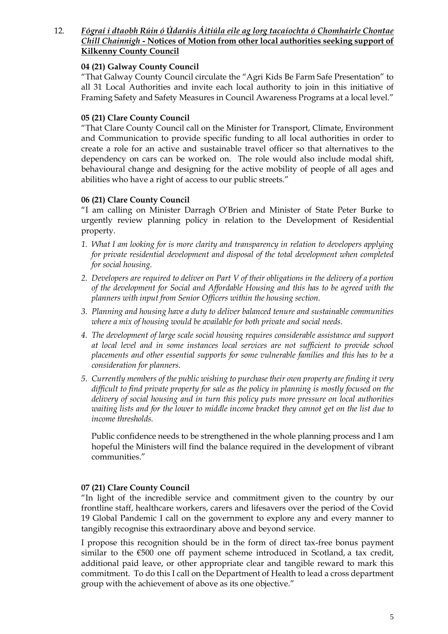# 12. *Fógraí i dtaobh Rúin ó Údaráis Áitiúla eile ag lorg tacaíochta ó Chomhairle Chontae Chill Chainnigh -* **Notices of Motion from other local authorities seeking support of Kilkenny County Council**

# **04 (21) Galway County Council**

"That Galway County Council circulate the "Agri Kids Be Farm Safe Presentation" to all 31 Local Authorities and invite each local authority to join in this initiative of Framing Safety and Safety Measures in Council Awareness Programs at a local level."

# **05 (21) Clare County Council**

"That Clare County Council call on the Minister for Transport, Climate, Environment and Communication to provide specific funding to all local authorities in order to create a role for an active and sustainable travel officer so that alternatives to the dependency on cars can be worked on. The role would also include modal shift, behavioural change and designing for the active mobility of people of all ages and abilities who have a right of access to our public streets."

#### **06 (21) Clare County Council**

"I am calling on Minister Darragh O'Brien and Minister of State Peter Burke to urgently review planning policy in relation to the Development of Residential property.

- *1. What I am looking for is more clarity and transparency in relation to developers applying for private residential development and disposal of the total development when completed for social housing.*
- *2. Developers are required to deliver on Part V of their obligations in the delivery of a portion of the development for Social and Affordable Housing and this has to be agreed with the planners with input from Senior Officers within the housing section.*
- *3. Planning and housing have a duty to deliver balanced tenure and sustainable communities where a mix of housing would be available for both private and social needs.*
- *4. The development of large scale social housing requires considerable assistance and support at local level and in some instances local services are not sufficient to provide school placements and other essential supports for some vulnerable families and this has to be a consideration for planners.*
- *5. Currently members of the public wishing to purchase their own property are finding it very difficult to find private property for sale as the policy in planning is mostly focused on the delivery of social housing and in turn this policy puts more pressure on local authorities waiting lists and for the lower to middle income bracket they cannot get on the list due to income thresholds.*

Public confidence needs to be strengthened in the whole planning process and I am hopeful the Ministers will find the balance required in the development of vibrant communities."

#### **07 (21) Clare County Council**

"In light of the incredible service and commitment given to the country by our frontline staff, healthcare workers, carers and lifesavers over the period of the Covid 19 Global Pandemic I call on the government to explore any and every manner to tangibly recognise this extraordinary above and beyond service.

I propose this recognition should be in the form of direct tax-free bonus payment similar to the €500 one off payment scheme introduced in Scotland, a tax credit, additional paid leave, or other appropriate clear and tangible reward to mark this commitment. To do this I call on the Department of Health to lead a cross department group with the achievement of above as its one objective."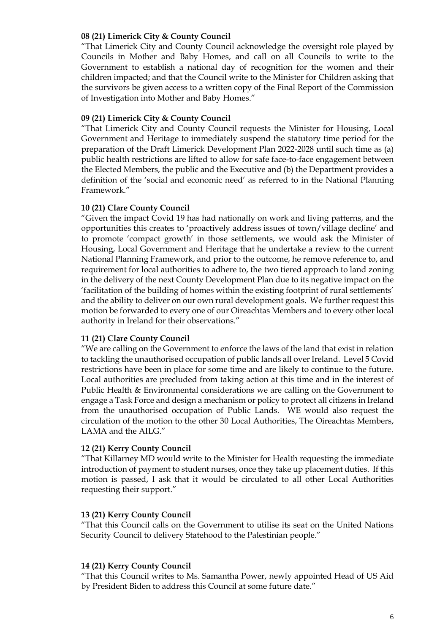#### **08 (21) Limerick City & County Council**

"That Limerick City and County Council acknowledge the oversight role played by Councils in Mother and Baby Homes, and call on all Councils to write to the Government to establish a national day of recognition for the women and their children impacted; and that the Council write to the Minister for Children asking that the survivors be given access to a written copy of the Final Report of the Commission of Investigation into Mother and Baby Homes."

#### **09 (21) Limerick City & County Council**

"That Limerick City and County Council requests the Minister for Housing, Local Government and Heritage to immediately suspend the statutory time period for the preparation of the Draft Limerick Development Plan 2022-2028 until such time as (a) public health restrictions are lifted to allow for safe face-to-face engagement between the Elected Members, the public and the Executive and (b) the Department provides a definition of the 'social and economic need' as referred to in the National Planning Framework."

#### **10 (21) Clare County Council**

"Given the impact Covid 19 has had nationally on work and living patterns, and the opportunities this creates to 'proactively address issues of town/village decline' and to promote 'compact growth' in those settlements, we would ask the Minister of Housing, Local Government and Heritage that he undertake a review to the current National Planning Framework, and prior to the outcome, he remove reference to, and requirement for local authorities to adhere to, the two tiered approach to land zoning in the delivery of the next County Development Plan due to its negative impact on the 'facilitation of the building of homes within the existing footprint of rural settlements' and the ability to deliver on our own rural development goals. We further request this motion be forwarded to every one of our Oireachtas Members and to every other local authority in Ireland for their observations."

#### **11 (21) Clare County Council**

"We are calling on the Government to enforce the laws of the land that exist in relation to tackling the unauthorised occupation of public lands all over Ireland. Level 5 Covid restrictions have been in place for some time and are likely to continue to the future. Local authorities are precluded from taking action at this time and in the interest of Public Health & Environmental considerations we are calling on the Government to engage a Task Force and design a mechanism or policy to protect all citizens in Ireland from the unauthorised occupation of Public Lands. WE would also request the circulation of the motion to the other 30 Local Authorities, The Oireachtas Members, LAMA and the AILG."

#### **12 (21) Kerry County Council**

"That Killarney MD would write to the Minister for Health requesting the immediate introduction of payment to student nurses, once they take up placement duties. If this motion is passed, I ask that it would be circulated to all other Local Authorities requesting their support."

#### **13 (21) Kerry County Council**

"That this Council calls on the Government to utilise its seat on the United Nations Security Council to delivery Statehood to the Palestinian people."

#### **14 (21) Kerry County Council**

"That this Council writes to Ms. Samantha Power, newly appointed Head of US Aid by President Biden to address this Council at some future date."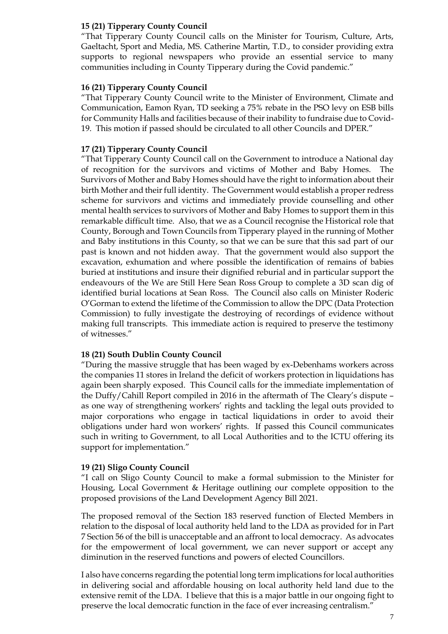# **15 (21) Tipperary County Council**

"That Tipperary County Council calls on the Minister for Tourism, Culture, Arts, Gaeltacht, Sport and Media, MS. Catherine Martin, T.D., to consider providing extra supports to regional newspapers who provide an essential service to many communities including in County Tipperary during the Covid pandemic."

#### **16 (21) Tipperary County Council**

"That Tipperary County Council write to the Minister of Environment, Climate and Communication, Eamon Ryan, TD seeking a 75% rebate in the PSO levy on ESB bills for Community Halls and facilities because of their inability to fundraise due to Covid-19. This motion if passed should be circulated to all other Councils and DPER."

#### **17 (21) Tipperary County Council**

"That Tipperary County Council call on the Government to introduce a National day of recognition for the survivors and victims of Mother and Baby Homes. The Survivors of Mother and Baby Homes should have the right to information about their birth Mother and their full identity. The Government would establish a proper redress scheme for survivors and victims and immediately provide counselling and other mental health services to survivors of Mother and Baby Homes to support them in this remarkable difficult time. Also, that we as a Council recognise the Historical role that County, Borough and Town Councils from Tipperary played in the running of Mother and Baby institutions in this County, so that we can be sure that this sad part of our past is known and not hidden away. That the government would also support the excavation, exhumation and where possible the identification of remains of babies buried at institutions and insure their dignified reburial and in particular support the endeavours of the We are Still Here Sean Ross Group to complete a 3D scan dig of identified burial locations at Sean Ross. The Council also calls on Minister Roderic O'Gorman to extend the lifetime of the Commission to allow the DPC (Data Protection Commission) to fully investigate the destroying of recordings of evidence without making full transcripts. This immediate action is required to preserve the testimony of witnesses."

#### **18 (21) South Dublin County Council**

"During the massive struggle that has been waged by ex-Debenhams workers across the companies 11 stores in Ireland the deficit of workers protection in liquidations has again been sharply exposed. This Council calls for the immediate implementation of the Duffy/Cahill Report compiled in 2016 in the aftermath of The Cleary's dispute – as one way of strengthening workers' rights and tackling the legal outs provided to major corporations who engage in tactical liquidations in order to avoid their obligations under hard won workers' rights. If passed this Council communicates such in writing to Government, to all Local Authorities and to the ICTU offering its support for implementation."

#### **19 (21) Sligo County Council**

"I call on Sligo County Council to make a formal submission to the Minister for Housing, Local Government & Heritage outlining our complete opposition to the proposed provisions of the Land Development Agency Bill 2021.

The proposed removal of the Section 183 reserved function of Elected Members in relation to the disposal of local authority held land to the LDA as provided for in Part 7 Section 56 of the bill is unacceptable and an affront to local democracy. As advocates for the empowerment of local government, we can never support or accept any diminution in the reserved functions and powers of elected Councillors.

I also have concerns regarding the potential long term implications for local authorities in delivering social and affordable housing on local authority held land due to the extensive remit of the LDA. I believe that this is a major battle in our ongoing fight to preserve the local democratic function in the face of ever increasing centralism."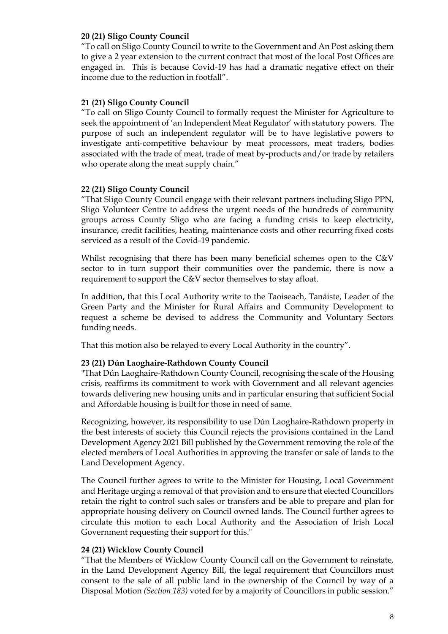#### **20 (21) Sligo County Council**

"To call on Sligo County Council to write to the Government and An Post asking them to give a 2 year extension to the current contract that most of the local Post Offices are engaged in. This is because Covid-19 has had a dramatic negative effect on their income due to the reduction in footfall".

#### **21 (21) Sligo County Council**

"To call on Sligo County Council to formally request the Minister for Agriculture to seek the appointment of 'an Independent Meat Regulator' with statutory powers. The purpose of such an independent regulator will be to have legislative powers to investigate anti-competitive behaviour by meat processors, meat traders, bodies associated with the trade of meat, trade of meat by-products and/or trade by retailers who operate along the meat supply chain."

#### **22 (21) Sligo County Council**

"That Sligo County Council engage with their relevant partners including Sligo PPN, Sligo Volunteer Centre to address the urgent needs of the hundreds of community groups across County Sligo who are facing a funding crisis to keep electricity, insurance, credit facilities, heating, maintenance costs and other recurring fixed costs serviced as a result of the Covid-19 pandemic.

Whilst recognising that there has been many beneficial schemes open to the C&V sector to in turn support their communities over the pandemic, there is now a requirement to support the C&V sector themselves to stay afloat.

In addition, that this Local Authority write to the Taoiseach, Tanáiste, Leader of the Green Party and the Minister for Rural Affairs and Community Development to request a scheme be devised to address the Community and Voluntary Sectors funding needs.

That this motion also be relayed to every Local Authority in the country".

#### **23 (21) Dún Laoghaire-Rathdown County Council**

"That Dún Laoghaire-Rathdown County Council, recognising the scale of the Housing crisis, reaffirms its commitment to work with Government and all relevant agencies towards delivering new housing units and in particular ensuring that sufficient Social and Affordable housing is built for those in need of same.

Recognizing, however, its responsibility to use Dún Laoghaire-Rathdown property in the best interests of society this Council rejects the provisions contained in the Land Development Agency 2021 Bill published by the Government removing the role of the elected members of Local Authorities in approving the transfer or sale of lands to the Land Development Agency.

The Council further agrees to write to the Minister for Housing, Local Government and Heritage urging a removal of that provision and to ensure that elected Councillors retain the right to control such sales or transfers and be able to prepare and plan for appropriate housing delivery on Council owned lands. The Council further agrees to circulate this motion to each Local Authority and the Association of Irish Local Government requesting their support for this."

#### **24 (21) Wicklow County Council**

"That the Members of Wicklow County Council call on the Government to reinstate, in the Land Development Agency Bill, the legal requirement that Councillors must consent to the sale of all public land in the ownership of the Council by way of a Disposal Motion *(Section 183)* voted for by a majority of Councillors in public session."